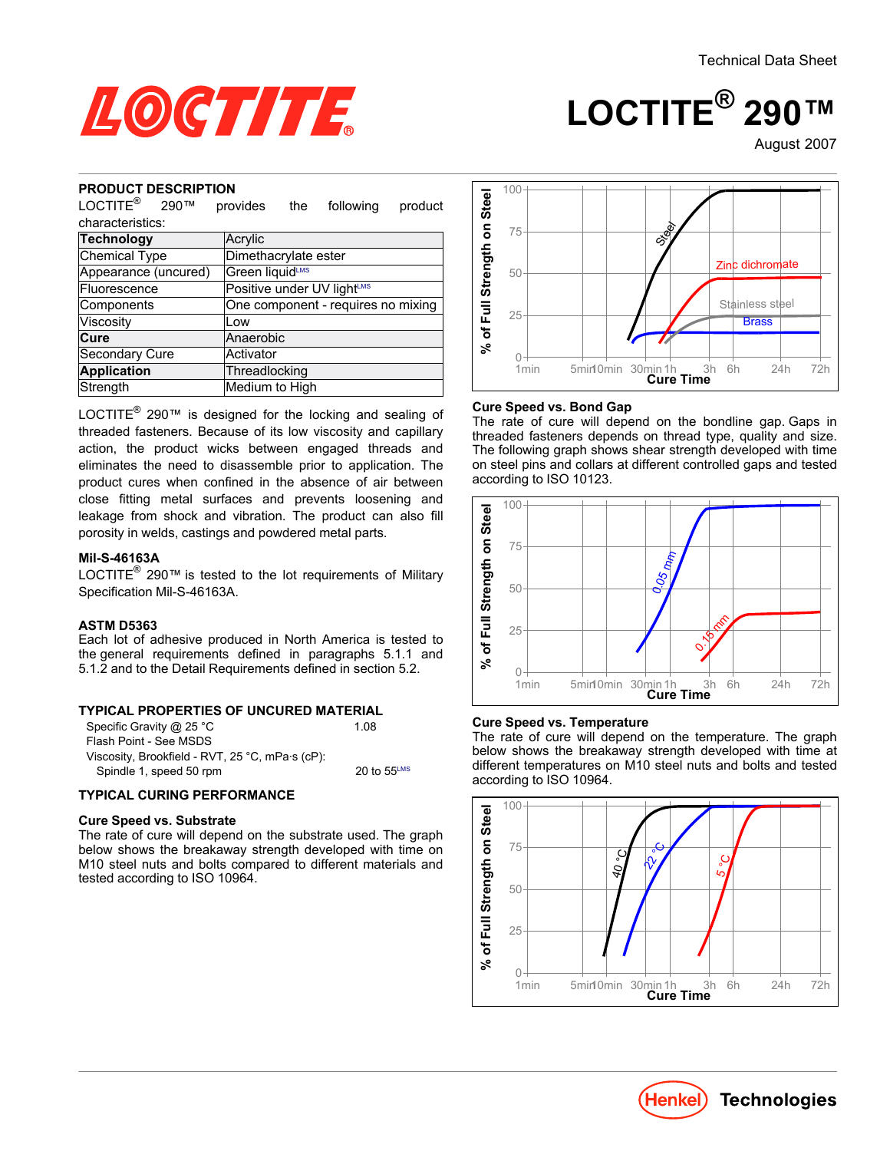August-2007

**LOCTITE® 290™**



#### **PRODUCT DESCRIPTION**

| NUDUUT DEJUNIF HUN                                                                                                                                                                                                                                                                                                                                                                                                                                                                                                                                                                                                                                                                                                                                                                                                                                                                |                            |     |                                    |         |                                                                                    |
|-----------------------------------------------------------------------------------------------------------------------------------------------------------------------------------------------------------------------------------------------------------------------------------------------------------------------------------------------------------------------------------------------------------------------------------------------------------------------------------------------------------------------------------------------------------------------------------------------------------------------------------------------------------------------------------------------------------------------------------------------------------------------------------------------------------------------------------------------------------------------------------|----------------------------|-----|------------------------------------|---------|------------------------------------------------------------------------------------|
| $\mathsf{LOCTITE}^\circledR$<br>290™                                                                                                                                                                                                                                                                                                                                                                                                                                                                                                                                                                                                                                                                                                                                                                                                                                              | provides                   | the | following                          | product | % of Full Strength on Stee                                                         |
| characteristics:                                                                                                                                                                                                                                                                                                                                                                                                                                                                                                                                                                                                                                                                                                                                                                                                                                                                  |                            |     |                                    |         |                                                                                    |
| <b>Technology</b>                                                                                                                                                                                                                                                                                                                                                                                                                                                                                                                                                                                                                                                                                                                                                                                                                                                                 | Acrylic                    |     |                                    |         |                                                                                    |
| <b>Chemical Type</b>                                                                                                                                                                                                                                                                                                                                                                                                                                                                                                                                                                                                                                                                                                                                                                                                                                                              | Dimethacrylate ester       |     |                                    |         |                                                                                    |
| Appearance (uncured)                                                                                                                                                                                                                                                                                                                                                                                                                                                                                                                                                                                                                                                                                                                                                                                                                                                              | Green liquidLMS            |     |                                    |         |                                                                                    |
| Fluorescence                                                                                                                                                                                                                                                                                                                                                                                                                                                                                                                                                                                                                                                                                                                                                                                                                                                                      | Positive under UV lightLMS |     |                                    |         |                                                                                    |
| Components                                                                                                                                                                                                                                                                                                                                                                                                                                                                                                                                                                                                                                                                                                                                                                                                                                                                        |                            |     | One component - requires no mixing |         |                                                                                    |
| Viscosity                                                                                                                                                                                                                                                                                                                                                                                                                                                                                                                                                                                                                                                                                                                                                                                                                                                                         | Low                        |     |                                    |         |                                                                                    |
| Cure                                                                                                                                                                                                                                                                                                                                                                                                                                                                                                                                                                                                                                                                                                                                                                                                                                                                              | Anaerobic                  |     |                                    |         |                                                                                    |
| Secondary Cure                                                                                                                                                                                                                                                                                                                                                                                                                                                                                                                                                                                                                                                                                                                                                                                                                                                                    | Activator                  |     |                                    |         |                                                                                    |
| <b>Application</b>                                                                                                                                                                                                                                                                                                                                                                                                                                                                                                                                                                                                                                                                                                                                                                                                                                                                | Threadlocking              |     |                                    |         |                                                                                    |
| Strength                                                                                                                                                                                                                                                                                                                                                                                                                                                                                                                                                                                                                                                                                                                                                                                                                                                                          | Medium to High             |     |                                    |         |                                                                                    |
| LOCTITE <sup>®</sup> 290 <sup>™</sup> is designed for the locking and sealing of<br>threaded fasteners. Because of its low viscosity and capillary<br>action, the product wicks between engaged threads and<br>eliminates the need to disassemble prior to application. The<br>product cures when confined in the absence of air between<br>close fitting metal surfaces and prevents loosening and<br>leakage from shock and vibration. The product can also fill<br>porosity in welds, castings and powdered metal parts.<br>Mil-S-46163A<br>LOCTITE <sup>®</sup> 290 <sup>™</sup> is tested to the lot requirements of Military<br>Specification Mil-S-46163A.<br><b>ASTM D5363</b><br>Each lot of adhesive produced in North America is tested to<br>the general requirements defined in paragraphs 5.1.1 and<br>5.1.2 and to the Detail Requirements defined in section 5.2. |                            |     |                                    |         | Cur<br>The<br>thre<br>The<br>on s<br>acc<br>of Full Strength on Steel<br>$\approx$ |
| <b>TYPICAL PROPERTIES OF UNCURED MATERIAL</b><br>Specific Gravity @ 25 °C<br>Flash Point - See MSDS<br>Viscosity, Brookfield - RVT, 25 °C, mPa·s (cP):<br>Spindle 1, speed 50 rpm                                                                                                                                                                                                                                                                                                                                                                                                                                                                                                                                                                                                                                                                                                 |                            |     | 1.08<br>20 to 55LMS                |         | Cur<br>The<br>beld<br>diffe<br>acc                                                 |
| <b>TYPICAL CURING PERFORMANCE</b>                                                                                                                                                                                                                                                                                                                                                                                                                                                                                                                                                                                                                                                                                                                                                                                                                                                 |                            |     |                                    |         |                                                                                    |
| <b>Cure Speed vs. Substrate</b><br>The rate of cure will depend on the substrate used. The graph<br>below shows the breakaway strength developed with time on<br>M10 steel nuts and bolts compared to different materials and<br>tested according to ISO 10964.                                                                                                                                                                                                                                                                                                                                                                                                                                                                                                                                                                                                                   |                            |     |                                    |         | ngth on Stee                                                                       |

### **Mil-S-46163A**

#### **ASTM D5363**

#### **TYPICAL PROPERTIES OF UNCURED MATERIAL**

| Specific Gravity @ 25 °C                        | 1.08                    |
|-------------------------------------------------|-------------------------|
| Flash Point - See MSDS                          |                         |
| Viscosity, Brookfield - RVT, 25 °C, mPa·s (cP): |                         |
| Spindle 1, speed 50 rpm                         | 20 to $55^{\text{LMS}}$ |

# **TYPICAL CURING PERFORMANCE**

#### **Cure Speed vs. Substrate**



#### **Cure Speed vs. Bond Gap**

The rate of cure will depend on the bondline gap. Gaps in threaded fasteners depends on thread type, quality and size. The following graph shows shear strength developed with time on steel pins and collars at different controlled gaps and tested according to ISO 10123.



#### **Cure Speed vs. Temperature**

The rate of cure will depend on the temperature. The graph below shows the breakaway strength developed with time at different temperatures on M10 steel nuts and bolts and tested according to ISO 10964.



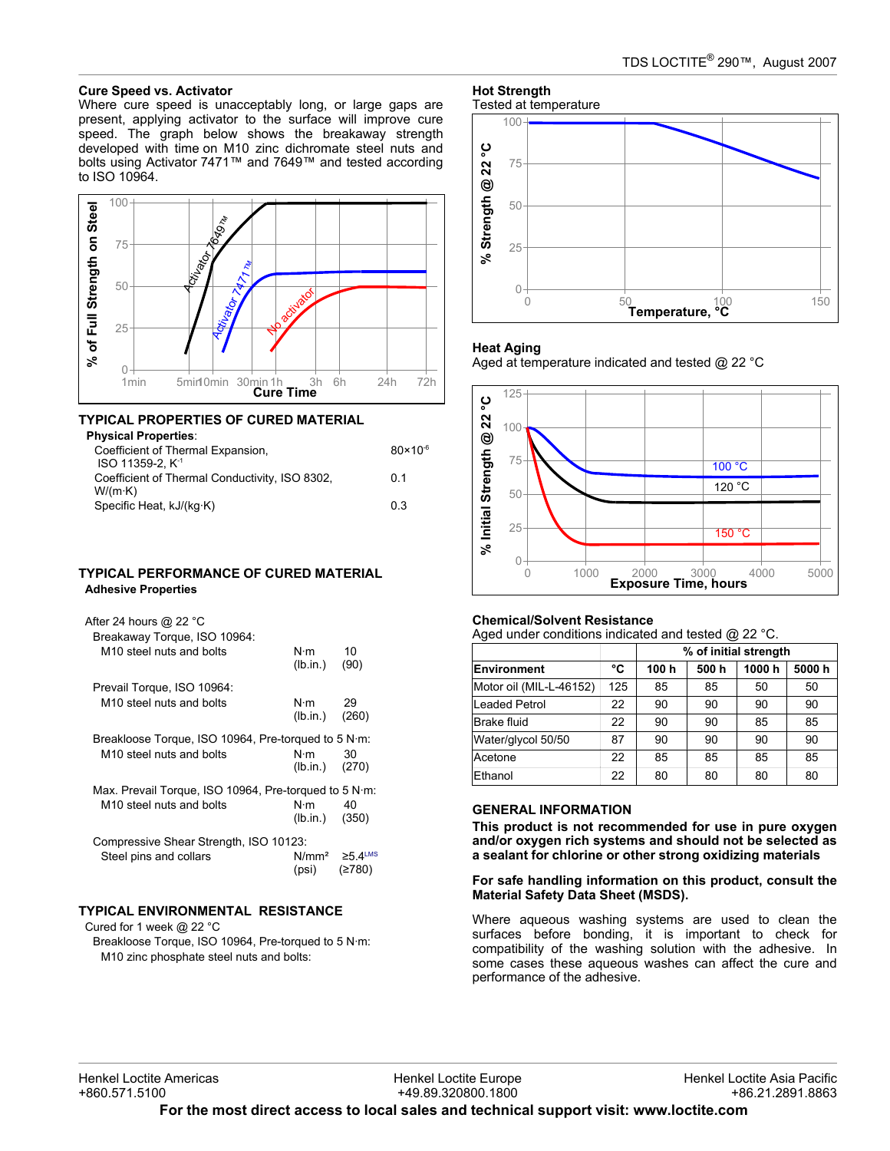#### **Cure Speed vs. Activator**

Where cure speed is unacceptably long, or large gaps are present, applying activator to the surface will improve cure speed. The graph below shows the breakaway strength developed with time on M10 zinc dichromate steel nuts and bolts using Activator 7471™ and 7649™ and tested according to ISO 10964.



# **TYPICAL PROPERTIES OF CURED MATERIAL**

| <b>Physical Properties:</b>                    |                     |
|------------------------------------------------|---------------------|
| Coefficient of Thermal Expansion,              | $80 \times 10^{-6}$ |
| ISO 11359-2. K <sup>-1</sup>                   |                     |
| Coefficient of Thermal Conductivity, ISO 8302, | 01                  |
| W/(m·K)                                        |                     |
| Specific Heat, kJ/(kg·K)                       | 03                  |
|                                                |                     |

#### **TYPICAL PERFORMANCE OF CURED MATERIAL Adhesive Properties**

| After 24 hours @ 22 °C<br>Breakaway Torque, ISO 10964:                                        |                       |                                           |
|-----------------------------------------------------------------------------------------------|-----------------------|-------------------------------------------|
| M <sub>10</sub> steel nuts and bolts                                                          | N⋅m<br>(lb.in.)       | 10<br>(90)                                |
| Prevail Torque, ISO 10964:                                                                    |                       |                                           |
| M <sub>10</sub> steel nuts and bolts                                                          | N·m 29<br>(lb.in.)    | (260)                                     |
| Breakloose Torque, ISO 10964, Pre-torqued to 5 N·m:<br>M <sub>10</sub> steel nuts and bolts   | N∙m<br>(lb.in.) (270) | 30                                        |
| Max. Prevail Torque, ISO 10964, Pre-torqued to 5 N·m:<br>M <sub>10</sub> steel nuts and bolts | N·m<br>(lb.in.) (350) | 40                                        |
| Compressive Shear Strength, ISO 10123:                                                        |                       |                                           |
| Steel pins and collars                                                                        | (psi)                 | $N/mm^2 \ge 5.4$ <sup>LMS</sup><br>(≥780) |

# **TYPICAL ENVIRONMENTAL RESISTANCE**

Cured for 1 week @ 22 °C

Breakloose Torque, ISO 10964, Pre-torqued to 5 N·m: M10 zinc phosphate steel nuts and bolts:

#### **Hot Strength** Tested at temperature



#### **Heat Aging**

Aged at temperature indicated and tested @ 22 °C



#### **Chemical/Solvent Resistance**

Aged under conditions indicated and tested @ 22 °C.

|                         |     | % of initial strength |      |       |       |
|-------------------------|-----|-----------------------|------|-------|-------|
| Environment             | °C  | 100h                  | 500h | 1000h | 5000h |
| Motor oil (MIL-L-46152) | 125 | 85                    | 85   | 50    | 50    |
| Leaded Petrol           | 22  | 90                    | 90   | 90    | 90    |
| Brake fluid             | 22  | 90                    | 90   | 85    | 85    |
| Water/glycol 50/50      | 87  | 90                    | 90   | 90    | 90    |
| Acetone                 | 22  | 85                    | 85   | 85    | 85    |
| Ethanol                 | 22  | 80                    | 80   | 80    | 80    |

#### **GENERAL INFORMATION**

**This product is not recommended for use in pure oxygen and/or oxygen rich systems and should not be selected as a sealant for chlorine or other strong oxidizing materials**

#### **For safe handling information on this product, consult the Material Safety Data Sheet (MSDS).**

Where aqueous washing systems are used to clean the surfaces before bonding, it is important to check for compatibility of the washing solution with the adhesive. In some cases these aqueous washes can affect the cure and performance of the adhesive.